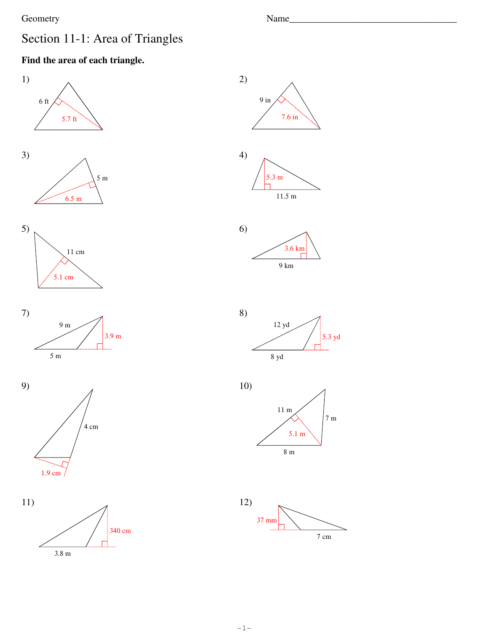## Geometry

1)

Name\_

# Section 11-1: Area of Triangles

## Find the area of each triangle.













 $-1-$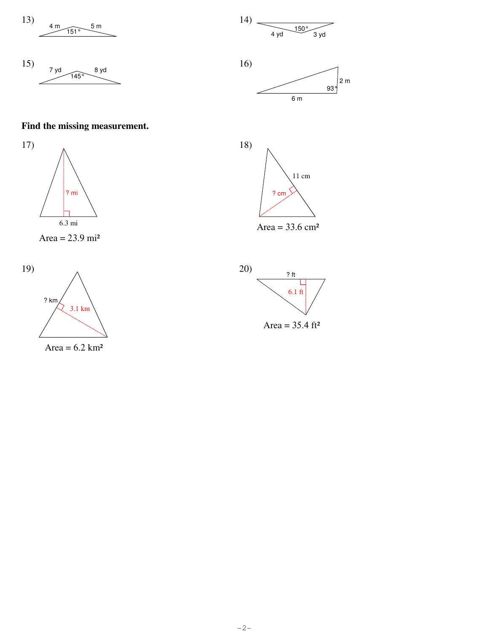$$
\begin{array}{c}\n13 \\
4 \text{ m} \\
\hline\n151^\circ\n\end{array}
$$
 5 m





 $6m$ 

 $11 \text{ cm}$ 

18)

## Find the missing measurement.









 $?$  cm

Area =  $33.6 \text{ cm}^2$ 

Area =  $6.2$  km<sup>2</sup>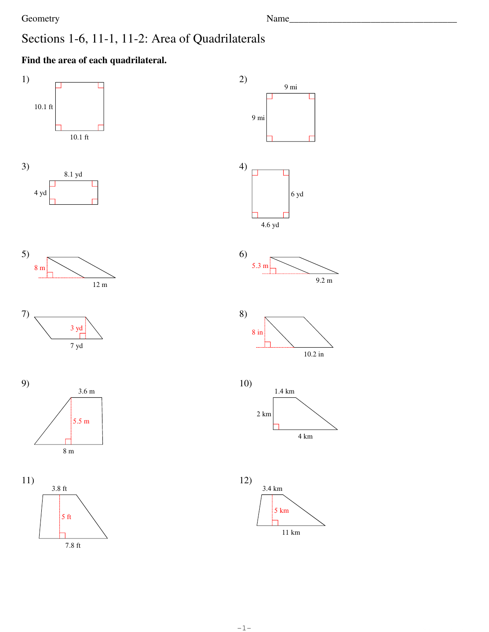Name\_

## Sections 1-6, 11-1, 11-2: Area of Quadrilaterals

## Find the area of each quadrilateral.

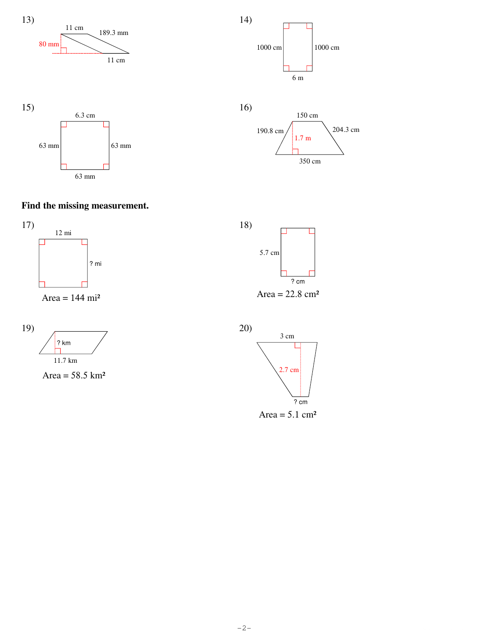





#### **Find the missing measurement.**



Area =  $144 \text{ mi}^2$ 





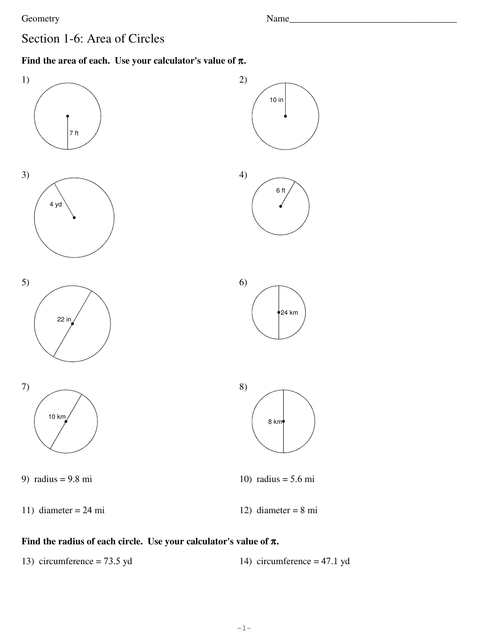$24 \text{ km}$ 

## Section 1-6: Area of Circles

#### Find the area of each. Use your calculator's value of  $\pi$ .



#### Find the radius of each circle. Use your calculator's value of  $\pi$ .

13) circumference =  $73.5$  yd 14) circumference =  $47.1$  yd

 $-1-$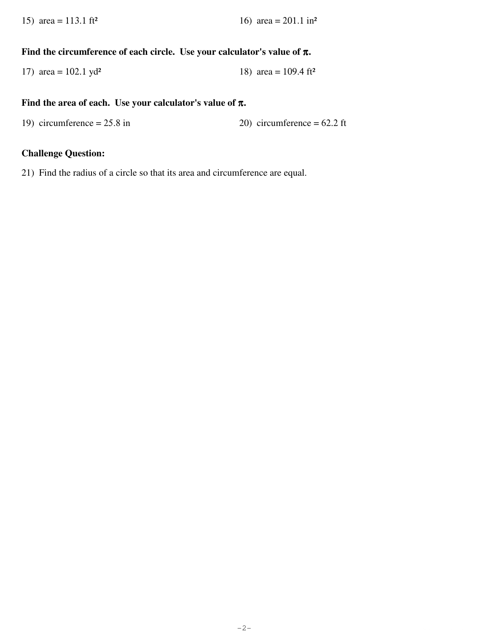15) area = 113.1 ft<sup>2</sup> 16) area = 201.1 in<sup>2</sup>

#### **Find the circumference of each circle. Use your calculator's value of**  π**.**

17) area = 
$$
102.1 \text{ yd}^2
$$
 18) area =  $109.4 \text{ ft}^2$ 

#### **Find the area of each. Use your calculator's value of**  π**.**

19) circumference =  $25.8$  in 20) circumference =  $62.2$  ft

#### **Challenge Question:**

21) Find the radius of a circle so that its area and circumference are equal.